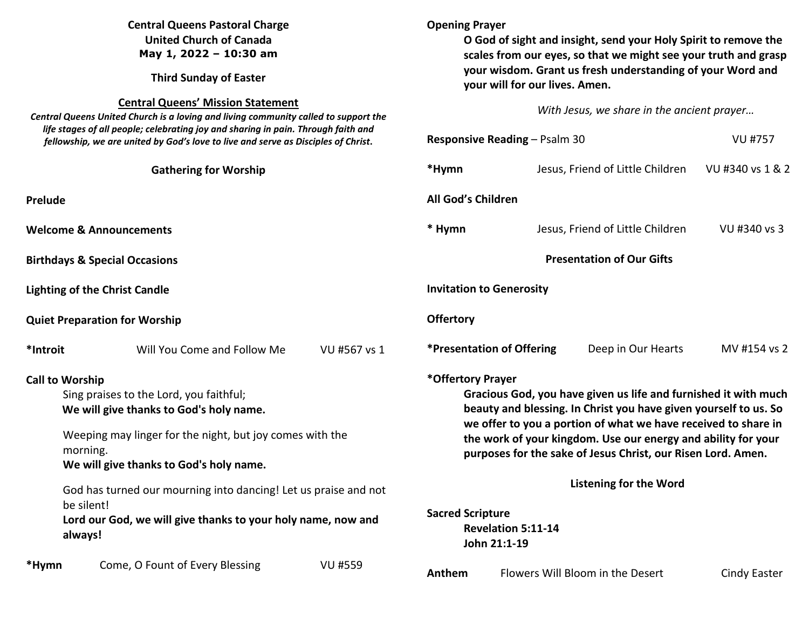| <b>Central Queens Pastoral Charge</b><br><b>United Church of Canada</b><br>May 1, 2022 - 10:30 am<br><b>Third Sunday of Easter</b><br><b>Central Queens' Mission Statement</b><br>Central Queens United Church is a loving and living community called to support the<br>life stages of all people; celebrating joy and sharing in pain. Through faith and<br>fellowship, we are united by God's love to live and serve as Disciples of Christ. |  |                                                                                                                                                                                                                                                                                                                                                                                                                                                      | <b>Opening Prayer</b><br>O God of sight and insight, send your Holy Spirit to remove the<br>scales from our eyes, so that we might see your truth and grasp<br>your wisdom. Grant us fresh understanding of your Word and<br>your will for our lives. Amen.<br>With Jesus, we share in the ancient prayer |                                  |                                  |                                  |              |
|-------------------------------------------------------------------------------------------------------------------------------------------------------------------------------------------------------------------------------------------------------------------------------------------------------------------------------------------------------------------------------------------------------------------------------------------------|--|------------------------------------------------------------------------------------------------------------------------------------------------------------------------------------------------------------------------------------------------------------------------------------------------------------------------------------------------------------------------------------------------------------------------------------------------------|-----------------------------------------------------------------------------------------------------------------------------------------------------------------------------------------------------------------------------------------------------------------------------------------------------------|----------------------------------|----------------------------------|----------------------------------|--------------|
|                                                                                                                                                                                                                                                                                                                                                                                                                                                 |  |                                                                                                                                                                                                                                                                                                                                                                                                                                                      |                                                                                                                                                                                                                                                                                                           |                                  |                                  |                                  |              |
|                                                                                                                                                                                                                                                                                                                                                                                                                                                 |  |                                                                                                                                                                                                                                                                                                                                                                                                                                                      |                                                                                                                                                                                                                                                                                                           |                                  | <b>Gathering for Worship</b>     |                                  | *Hymn        |
| Prelude                                                                                                                                                                                                                                                                                                                                                                                                                                         |  |                                                                                                                                                                                                                                                                                                                                                                                                                                                      |                                                                                                                                                                                                                                                                                                           | All God's Children               |                                  |                                  |              |
| <b>Welcome &amp; Announcements</b>                                                                                                                                                                                                                                                                                                                                                                                                              |  |                                                                                                                                                                                                                                                                                                                                                                                                                                                      | * Hymn                                                                                                                                                                                                                                                                                                    |                                  | Jesus, Friend of Little Children | VU #340 vs 3                     |              |
| <b>Birthdays &amp; Special Occasions</b>                                                                                                                                                                                                                                                                                                                                                                                                        |  |                                                                                                                                                                                                                                                                                                                                                                                                                                                      | <b>Presentation of Our Gifts</b>                                                                                                                                                                                                                                                                          |                                  |                                  |                                  |              |
| <b>Lighting of the Christ Candle</b>                                                                                                                                                                                                                                                                                                                                                                                                            |  |                                                                                                                                                                                                                                                                                                                                                                                                                                                      |                                                                                                                                                                                                                                                                                                           | <b>Invitation to Generosity</b>  |                                  |                                  |              |
| <b>Quiet Preparation for Worship</b>                                                                                                                                                                                                                                                                                                                                                                                                            |  |                                                                                                                                                                                                                                                                                                                                                                                                                                                      | <b>Offertory</b>                                                                                                                                                                                                                                                                                          |                                  |                                  |                                  |              |
| *Introit                                                                                                                                                                                                                                                                                                                                                                                                                                        |  | Will You Come and Follow Me                                                                                                                                                                                                                                                                                                                                                                                                                          | VU #567 vs 1                                                                                                                                                                                                                                                                                              | <b>*Presentation of Offering</b> |                                  | Deep in Our Hearts               | MV #154 vs 2 |
| <b>Call to Worship</b><br>Sing praises to the Lord, you faithful;<br>We will give thanks to God's holy name.<br>Weeping may linger for the night, but joy comes with the<br>morning.<br>We will give thanks to God's holy name.<br>God has turned our mourning into dancing! Let us praise and not<br>be silent!<br>Lord our God, we will give thanks to your holy name, now and<br>always!                                                     |  | *Offertory Prayer<br>Gracious God, you have given us life and furnished it with much<br>beauty and blessing. In Christ you have given yourself to us. So<br>we offer to you a portion of what we have received to share in<br>the work of your kingdom. Use our energy and ability for your<br>purposes for the sake of Jesus Christ, our Risen Lord. Amen.<br><b>Listening for the Word</b><br><b>Sacred Scripture</b><br><b>Revelation 5:11-14</b> |                                                                                                                                                                                                                                                                                                           |                                  |                                  |                                  |              |
| *Hymn                                                                                                                                                                                                                                                                                                                                                                                                                                           |  | Come, O Fount of Every Blessing                                                                                                                                                                                                                                                                                                                                                                                                                      | <b>VU #559</b>                                                                                                                                                                                                                                                                                            | Anthem                           | John 21:1-19                     | Flowers Will Bloom in the Desert | Cindy Easter |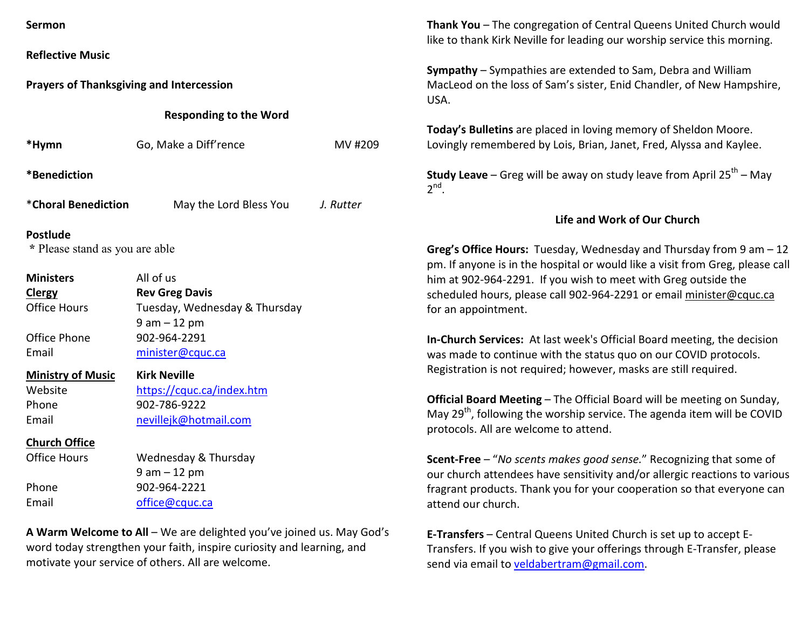**Reflective Music** 

**Prayers of Thanksgiving and Intercession** 

**Responding to the Word** 

| *Hymn                                             | Go, Make a Diff'rence         | MV #209   |  |  |  |  |  |
|---------------------------------------------------|-------------------------------|-----------|--|--|--|--|--|
| *Benediction                                      |                               |           |  |  |  |  |  |
| *Choral Benediction                               | May the Lord Bless You        | J. Rutter |  |  |  |  |  |
| <b>Postlude</b><br>* Please stand as you are able |                               |           |  |  |  |  |  |
| <b>Ministers</b>                                  | All of us                     |           |  |  |  |  |  |
| Clergy                                            | <b>Rev Greg Davis</b>         |           |  |  |  |  |  |
| <b>Office Hours</b>                               | Tuesday, Wednesday & Thursday |           |  |  |  |  |  |
|                                                   | $9$ am $-12$ pm               |           |  |  |  |  |  |
| Office Phone                                      | 902-964-2291                  |           |  |  |  |  |  |
| Email                                             | minister@cquc.ca              |           |  |  |  |  |  |
| <b>Ministry of Music</b>                          | <b>Kirk Neville</b>           |           |  |  |  |  |  |
| Website                                           | https://cquc.ca/index.htm     |           |  |  |  |  |  |
| Phone                                             | 902-786-9222                  |           |  |  |  |  |  |

**Church Office**

Office Hours Wednesday & Thursday 9 am – 12 pm Phone 902-964-2221 Email office@cquc.ca

Email nevillejk@hotmail.com

**A Warm Welcome to All** – We are delighted you've joined us. May God's word today strengthen your faith, inspire curiosity and learning, and motivate your service of others. All are welcome.

**Thank You** – The congregation of Central Queens United Church would like to thank Kirk Neville for leading our worship service this morning.

**Sympathy** – Sympathies are extended to Sam, Debra and William MacLeod on the loss of Sam's sister, Enid Chandler, of New Hampshire, USA.

**Today's Bulletins** are placed in loving memory of Sheldon Moore. Lovingly remembered by Lois, Brian, Janet, Fred, Alyssa and Kaylee.

**Study Leave** – Greg will be away on study leave from April 25<sup>th</sup> – May  $2^{nd}$ .

## **Life and Work of Our Church**

**Greg's Office Hours:** Tuesday, Wednesday and Thursday from 9 am – 12 pm. If anyone is in the hospital or would like a visit from Greg, please call him at 902-964-2291. If you wish to meet with Greg outside the scheduled hours, please call 902-964-2291 or email minister@cquc.ca for an appointment.

**In-Church Services:** At last week's Official Board meeting, the decision was made to continue with the status quo on our COVID protocols. Registration is not required; however, masks are still required.

**Official Board Meeting** – The Official Board will be meeting on Sunday, May 29<sup>th</sup>, following the worship service. The agenda item will be COVID protocols. All are welcome to attend.

**Scent-Free** – "*No scents makes good sense.*" Recognizing that some of our church attendees have sensitivity and/or allergic reactions to various fragrant products. Thank you for your cooperation so that everyone can attend our church.

**E-Transfers** – Central Queens United Church is set up to accept E-Transfers. If you wish to give your offerings through E-Transfer, please send via email to veldabertram@gmail.com.